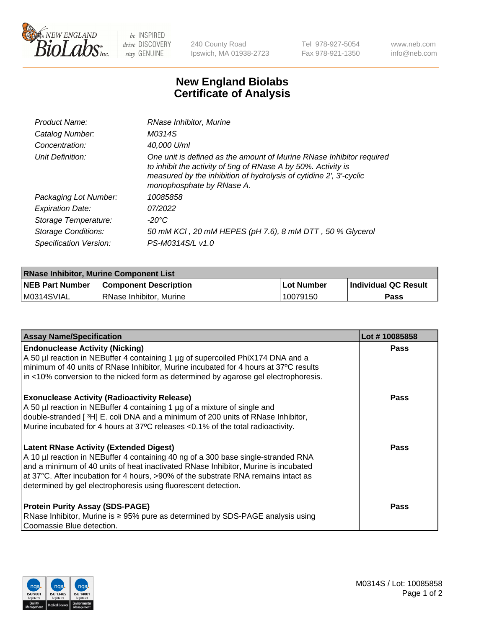

 $be$  INSPIRED drive DISCOVERY stay GENUINE

240 County Road Ipswich, MA 01938-2723 Tel 978-927-5054 Fax 978-921-1350 www.neb.com info@neb.com

## **New England Biolabs Certificate of Analysis**

| Product Name:           | RNase Inhibitor, Murine                                                                                                                                                                                                                  |
|-------------------------|------------------------------------------------------------------------------------------------------------------------------------------------------------------------------------------------------------------------------------------|
| Catalog Number:         | M0314S                                                                                                                                                                                                                                   |
| Concentration:          | 40,000 U/ml                                                                                                                                                                                                                              |
| Unit Definition:        | One unit is defined as the amount of Murine RNase Inhibitor required<br>to inhibit the activity of 5ng of RNase A by 50%. Activity is<br>measured by the inhibition of hydrolysis of cytidine 2', 3'-cyclic<br>monophosphate by RNase A. |
| Packaging Lot Number:   | 10085858                                                                                                                                                                                                                                 |
| <b>Expiration Date:</b> | 07/2022                                                                                                                                                                                                                                  |
| Storage Temperature:    | -20°C                                                                                                                                                                                                                                    |
| Storage Conditions:     | 50 mM KCI, 20 mM HEPES (pH 7.6), 8 mM DTT, 50 % Glycerol                                                                                                                                                                                 |
| Specification Version:  | PS-M0314S/L v1.0                                                                                                                                                                                                                         |

| <b>RNase Inhibitor, Murine Component List</b> |                              |            |                      |  |
|-----------------------------------------------|------------------------------|------------|----------------------|--|
| <b>NEB Part Number</b>                        | <b>Component Description</b> | Lot Number | Individual QC Result |  |
| M0314SVIAL                                    | l RNase Inhibitor. Murine    | 10079150   | <b>Pass</b>          |  |

| <b>Assay Name/Specification</b>                                                                                                                                                                                                                                                                                                                                                   | Lot #10085858 |
|-----------------------------------------------------------------------------------------------------------------------------------------------------------------------------------------------------------------------------------------------------------------------------------------------------------------------------------------------------------------------------------|---------------|
| <b>Endonuclease Activity (Nicking)</b><br>A 50 µl reaction in NEBuffer 4 containing 1 µg of supercoiled PhiX174 DNA and a<br>minimum of 40 units of RNase Inhibitor, Murine incubated for 4 hours at 37°C results<br>in <10% conversion to the nicked form as determined by agarose gel electrophoresis.                                                                          | Pass          |
| <b>Exonuclease Activity (Radioactivity Release)</b><br>A 50 µl reaction in NEBuffer 4 containing 1 µg of a mixture of single and<br>double-stranded [3H] E. coli DNA and a minimum of 200 units of RNase Inhibitor,<br>Murine incubated for 4 hours at 37°C releases <0.1% of the total radioactivity.                                                                            | <b>Pass</b>   |
| <b>Latent RNase Activity (Extended Digest)</b><br>A 10 µl reaction in NEBuffer 4 containing 40 ng of a 300 base single-stranded RNA<br>and a minimum of 40 units of heat inactivated RNase Inhibitor, Murine is incubated<br>at 37°C. After incubation for 4 hours, >90% of the substrate RNA remains intact as<br>determined by gel electrophoresis using fluorescent detection. | <b>Pass</b>   |
| <b>Protein Purity Assay (SDS-PAGE)</b><br>RNase Inhibitor, Murine is ≥ 95% pure as determined by SDS-PAGE analysis using<br>Coomassie Blue detection.                                                                                                                                                                                                                             | <b>Pass</b>   |